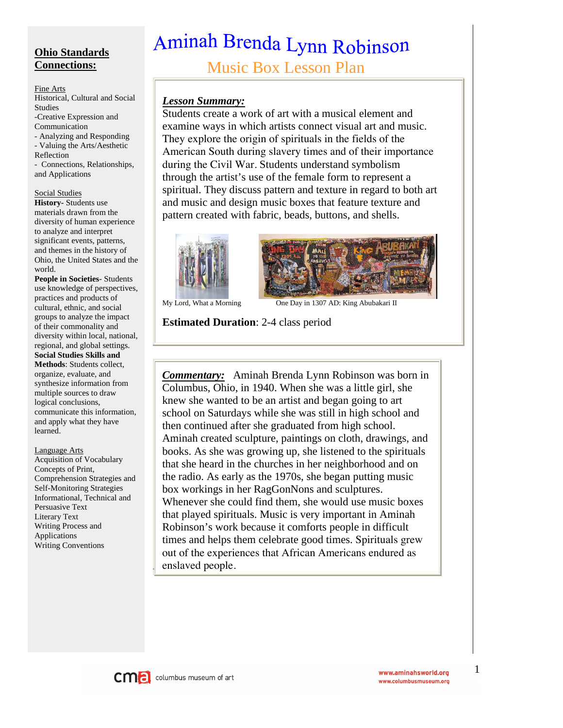## **Ohio Standards Connections:**

#### Fine Arts

Historical, Cultural and Social Studies -Creative Expression and Communication - Analyzing and Responding - Valuing the Arts/Aesthetic Reflection

- Connections, Relationships, and Applications

#### Social Studies

**History-** Students use materials drawn from the diversity of human experience to analyze and interpret significant events, patterns, and themes in the history of Ohio, the United States and the world.

**People in Societies**- Students use knowledge of perspectives, practices and products of cultural, ethnic, and social groups to analyze the impact of their commonality and diversity within local, national, regional, and global settings. **Social Studies Skills and Methods**: Students collect, organize, evaluate, and synthesize information from multiple sources to draw logical conclusions, communicate this information, and apply what they have learned.

Language Arts

Acquisition of Vocabulary Concepts of Print, Comprehension Strategies and Self-Monitoring Strategies Informational, Technical and Persuasive Text Literary Text Writing Process and Applications Writing Conventions

# Aminah Brenda Lynn Robinson

Music Box Lesson Plan

#### *Lesson Summary:*

Students create a work of art with a musical element and examine ways in which artists connect visual art and music. They explore the origin of spirituals in the fields of the American South during slavery times and of their importance during the Civil War. Students understand symbolism through the artist's use of the female form to represent a spiritual. They discuss pattern and texture in regard to both art and music and design music boxes that feature texture and pattern created with fabric, beads, buttons, and shells.





My Lord, What a Morning One Day in 1307 AD: King Abubakari II

#### **Estimated Duration**: 2-4 class period

*Commentary:* Aminah Brenda Lynn Robinson was born in Columbus, Ohio, in 1940. When she was a little girl, she knew she wanted to be an artist and began going to art school on Saturdays while she was still in high school and then continued after she graduated from high school. Aminah created sculpture, paintings on cloth, drawings, and books. As she was growing up, she listened to the spirituals that she heard in the churches in her neighborhood and on the radio. As early as the 1970s, she began putting music box workings in her RagGonNons and sculptures. Whenever she could find them, she would use music boxes that played spirituals. Music is very important in Aminah Robinson's work because it comforts people in difficult times and helps them celebrate good times. Spirituals grew out of the experiences that African Americans endured as enslaved people.



1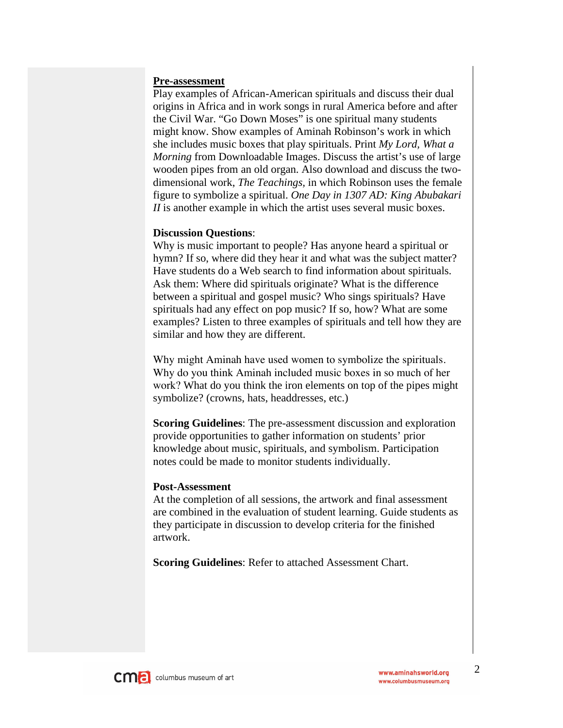#### **Pre-assessment**

Play examples of African-American spirituals and discuss their dual origins in Africa and in work songs in rural America before and after the Civil War. "Go Down Moses" is one spiritual many students might know. Show examples of Aminah Robinson's work in which she includes music boxes that play spirituals. Print *My Lord, What a Morning* from Downloadable Images. Discuss the artist's use of large wooden pipes from an old organ. Also download and discuss the twodimensional work, *The Teachings,* in which Robinson uses the female figure to symbolize a spiritual. *One Day in 1307 AD: King Abubakari II* is another example in which the artist uses several music boxes.

#### **Discussion Questions**:

Why is music important to people? Has anyone heard a spiritual or hymn? If so, where did they hear it and what was the subject matter? Have students do a Web search to find information about spirituals. Ask them: Where did spirituals originate? What is the difference between a spiritual and gospel music? Who sings spirituals? Have spirituals had any effect on pop music? If so, how? What are some examples? Listen to three examples of spirituals and tell how they are similar and how they are different.

Why might Aminah have used women to symbolize the spirituals. Why do you think Aminah included music boxes in so much of her work? What do you think the iron elements on top of the pipes might symbolize? (crowns, hats, headdresses, etc.)

**Scoring Guidelines**: The pre-assessment discussion and exploration provide opportunities to gather information on students' prior knowledge about music, spirituals, and symbolism. Participation notes could be made to monitor students individually.

#### **Post-Assessment**

At the completion of all sessions, the artwork and final assessment are combined in the evaluation of student learning. Guide students as they participate in discussion to develop criteria for the finished artwork.

**Scoring Guidelines**: Refer to attached Assessment Chart.

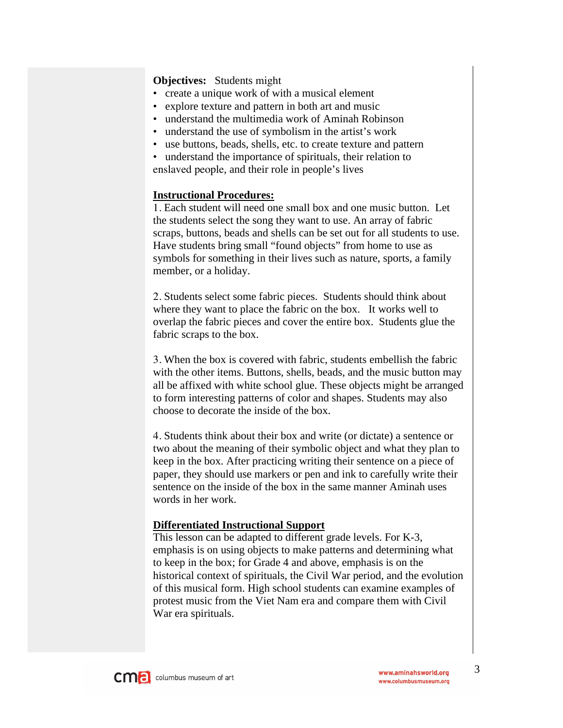#### **Objectives:** Students might

- create a unique work of with a musical element
- explore texture and pattern in both art and music
- understand the multimedia work of Aminah Robinson
- understand the use of symbolism in the artist's work
- use buttons, beads, shells, etc. to create texture and pattern
- understand the importance of spirituals, their relation to enslaved people, and their role in people's lives

#### **Instructional Procedures:**

1. Each student will need one small box and one music button. Let the students select the song they want to use. An array of fabric scraps, buttons, beads and shells can be set out for all students to use. Have students bring small "found objects" from home to use as symbols for something in their lives such as nature, sports, a family member, or a holiday.

2. Students select some fabric pieces. Students should think about where they want to place the fabric on the box. It works well to overlap the fabric pieces and cover the entire box. Students glue the fabric scraps to the box.

3. When the box is covered with fabric, students embellish the fabric with the other items. Buttons, shells, beads, and the music button may all be affixed with white school glue. These objects might be arranged to form interesting patterns of color and shapes. Students may also choose to decorate the inside of the box.

4. Students think about their box and write (or dictate) a sentence or two about the meaning of their symbolic object and what they plan to keep in the box. After practicing writing their sentence on a piece of paper, they should use markers or pen and ink to carefully write their sentence on the inside of the box in the same manner Aminah uses words in her work.

#### **Differentiated Instructional Support**

This lesson can be adapted to different grade levels. For K-3, emphasis is on using objects to make patterns and determining what to keep in the box; for Grade 4 and above, emphasis is on the historical context of spirituals, the Civil War period, and the evolution of this musical form. High school students can examine examples of protest music from the Viet Nam era and compare them with Civil War era spirituals.

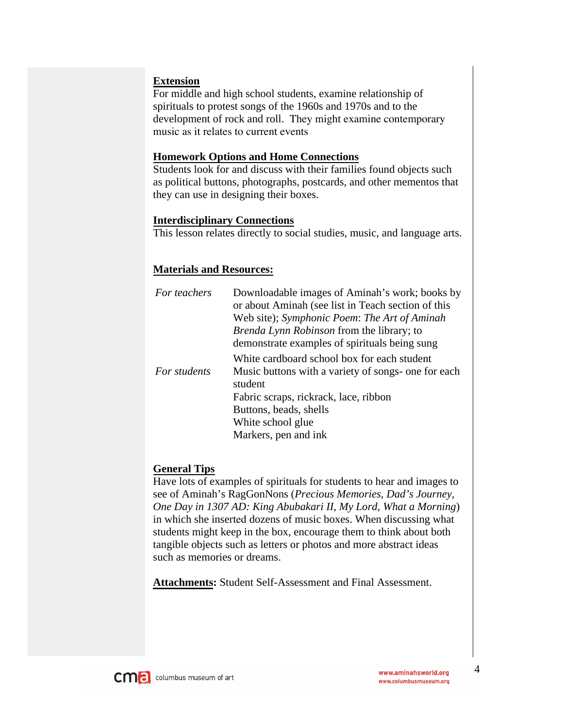#### **Extension**

For middle and high school students, examine relationship of spirituals to protest songs of the 1960s and 1970s and to the development of rock and roll. They might examine contemporary music as it relates to current events

#### **Homework Options and Home Connections**

Students look for and discuss with their families found objects such as political buttons, photographs, postcards, and other mementos that they can use in designing their boxes.

#### **Interdisciplinary Connections**

This lesson relates directly to social studies, music, and language arts.

#### **Materials and Resources:**

| For teachers | Downloadable images of Aminah's work; books by<br>or about Aminah (see list in Teach section of this<br>Web site); Symphonic Poem: The Art of Aminah<br><i>Brenda Lynn Robinson</i> from the library; to |
|--------------|----------------------------------------------------------------------------------------------------------------------------------------------------------------------------------------------------------|
|              | demonstrate examples of spirituals being sung<br>White cardboard school box for each student                                                                                                             |
| For students | Music buttons with a variety of songs- one for each<br>student                                                                                                                                           |
|              | Fabric scraps, rickrack, lace, ribbon                                                                                                                                                                    |
|              | Buttons, beads, shells                                                                                                                                                                                   |
|              | White school glue                                                                                                                                                                                        |
|              | Markers, pen and ink                                                                                                                                                                                     |

#### **General Tips**

Have lots of examples of spirituals for students to hear and images to see of Aminah's RagGonNons (*Precious Memories*, *Dad's Journey*, *One Day in 1307 AD: King Abubakari II*, *My Lord, What a Morning*) in which she inserted dozens of music boxes. When discussing what students might keep in the box, encourage them to think about both tangible objects such as letters or photos and more abstract ideas such as memories or dreams.

**Attachments:** Student Self-Assessment and Final Assessment.

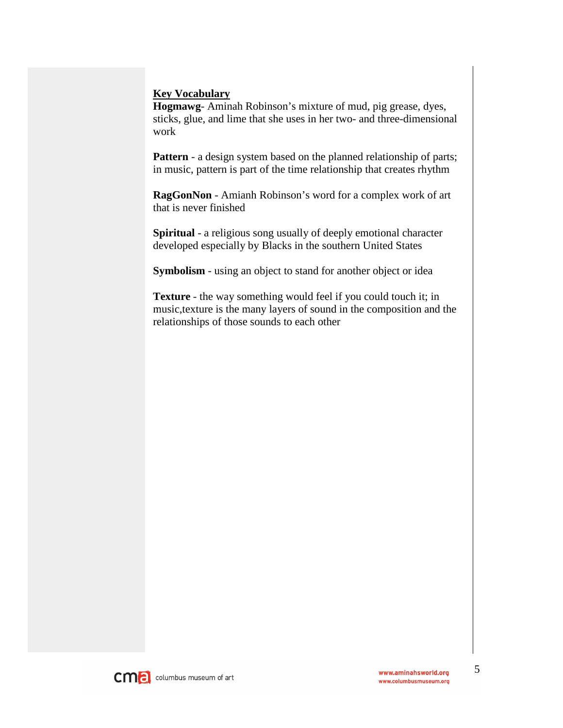#### **Key Vocabulary**

**Hogmawg**- Aminah Robinson's mixture of mud, pig grease, dyes, sticks, glue, and lime that she uses in her two- and three-dimensional work

**Pattern** - a design system based on the planned relationship of parts; in music, pattern is part of the time relationship that creates rhythm

**RagGonNon** - Amianh Robinson's word for a complex work of art that is never finished

**Spiritual** - a religious song usually of deeply emotional character developed especially by Blacks in the southern United States

**Symbolism** - using an object to stand for another object or idea

**Texture** - the way something would feel if you could touch it; in music,texture is the many layers of sound in the composition and the relationships of those sounds to each other

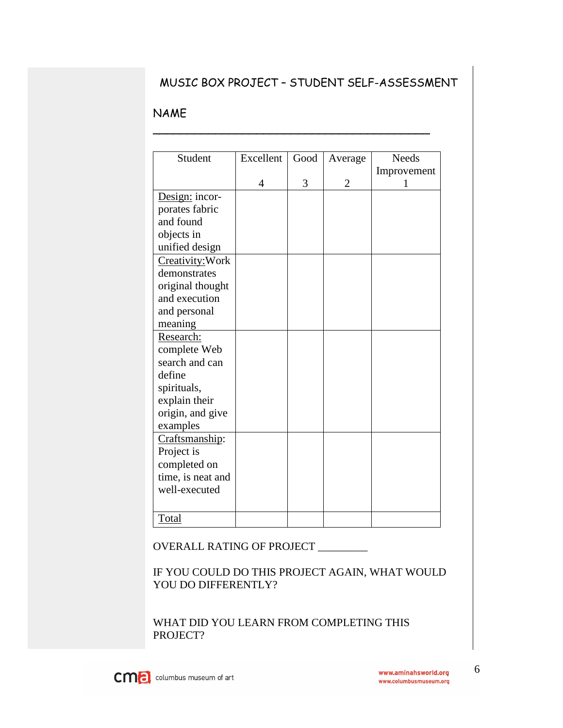## MUSIC BOX PROJECT – STUDENT SELF-ASSESSMENT

\_\_\_\_\_\_\_\_\_\_\_\_\_\_\_\_\_\_\_\_\_\_\_\_\_\_\_\_\_\_\_\_\_\_\_\_\_\_\_\_

### NAME

| Student           | Excellent      | Good | Average        | <b>Needs</b> |
|-------------------|----------------|------|----------------|--------------|
|                   |                |      |                | Improvement  |
|                   | $\overline{4}$ | 3    | $\overline{2}$ | 1            |
| Design: incor-    |                |      |                |              |
| porates fabric    |                |      |                |              |
| and found         |                |      |                |              |
| objects in        |                |      |                |              |
| unified design    |                |      |                |              |
| Creativity: Work  |                |      |                |              |
| demonstrates      |                |      |                |              |
| original thought  |                |      |                |              |
| and execution     |                |      |                |              |
| and personal      |                |      |                |              |
| meaning           |                |      |                |              |
| Research:         |                |      |                |              |
| complete Web      |                |      |                |              |
| search and can    |                |      |                |              |
| define            |                |      |                |              |
| spirituals,       |                |      |                |              |
| explain their     |                |      |                |              |
| origin, and give  |                |      |                |              |
| examples          |                |      |                |              |
| Craftsmanship:    |                |      |                |              |
| Project is        |                |      |                |              |
| completed on      |                |      |                |              |
| time, is neat and |                |      |                |              |
| well-executed     |                |      |                |              |
|                   |                |      |                |              |
|                   |                |      |                |              |
| Total             |                |      |                |              |

#### OVERALL RATING OF PROJECT \_\_\_\_\_\_\_\_\_

## IF YOU COULD DO THIS PROJECT AGAIN, WHAT WOULD YOU DO DIFFERENTLY?

WHAT DID YOU LEARN FROM COMPLETING THIS PROJECT?